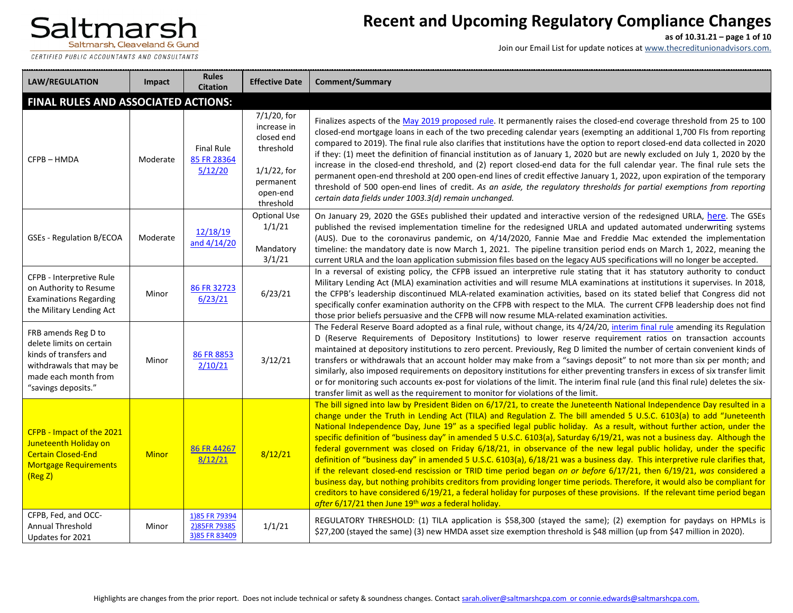CERTIFIED PUBLIC ACCOUNTANTS AND CONSULTANTS

## **Recent and Upcoming Regulatory Compliance Changes**

**as of 10.31.21 – page 1 of 10**

| <b>LAW/REGULATION</b>                                                                                                                               | <b>Impact</b>                              | <b>Rules</b><br><b>Citation</b>                | <b>Effective Date</b>                                                                                         | <b>Comment/Summary</b>                                                                                                                                                                                                                                                                                                                                                                                                                                                                                                                                                                                                                                                                                                                                                                                                                                                                                                                                                                                                                                                                                                                                                                                     |  |  |  |  |
|-----------------------------------------------------------------------------------------------------------------------------------------------------|--------------------------------------------|------------------------------------------------|---------------------------------------------------------------------------------------------------------------|------------------------------------------------------------------------------------------------------------------------------------------------------------------------------------------------------------------------------------------------------------------------------------------------------------------------------------------------------------------------------------------------------------------------------------------------------------------------------------------------------------------------------------------------------------------------------------------------------------------------------------------------------------------------------------------------------------------------------------------------------------------------------------------------------------------------------------------------------------------------------------------------------------------------------------------------------------------------------------------------------------------------------------------------------------------------------------------------------------------------------------------------------------------------------------------------------------|--|--|--|--|
|                                                                                                                                                     | <b>FINAL RULES AND ASSOCIATED ACTIONS:</b> |                                                |                                                                                                               |                                                                                                                                                                                                                                                                                                                                                                                                                                                                                                                                                                                                                                                                                                                                                                                                                                                                                                                                                                                                                                                                                                                                                                                                            |  |  |  |  |
| CFPB-HMDA                                                                                                                                           | Moderate                                   | <b>Final Rule</b><br>85 FR 28364<br>5/12/20    | 7/1/20, for<br>increase in<br>closed end<br>threshold<br>$1/1/22$ , for<br>permanent<br>open-end<br>threshold | Finalizes aspects of the May 2019 proposed rule. It permanently raises the closed-end coverage threshold from 25 to 100<br>closed-end mortgage loans in each of the two preceding calendar years (exempting an additional 1,700 FIs from reporting<br>compared to 2019). The final rule also clarifies that institutions have the option to report closed-end data collected in 2020<br>if they: (1) meet the definition of financial institution as of January 1, 2020 but are newly excluded on July 1, 2020 by the<br>increase in the closed-end threshold, and (2) report closed-end data for the full calendar year. The final rule sets the<br>permanent open-end threshold at 200 open-end lines of credit effective January 1, 2022, upon expiration of the temporary<br>threshold of 500 open-end lines of credit. As an aside, the regulatory thresholds for partial exemptions from reporting<br>certain data fields under 1003.3(d) remain unchanged.                                                                                                                                                                                                                                          |  |  |  |  |
| <b>GSEs - Regulation B/ECOA</b>                                                                                                                     | Moderate                                   | 12/18/19<br>and $4/14/20$                      | <b>Optional Use</b><br>1/1/21<br>Mandatory<br>3/1/21                                                          | On January 29, 2020 the GSEs published their updated and interactive version of the redesigned URLA, here. The GSEs<br>published the revised implementation timeline for the redesigned URLA and updated automated underwriting systems<br>(AUS). Due to the coronavirus pandemic, on 4/14/2020, Fannie Mae and Freddie Mac extended the implementation<br>timeline: the mandatory date is now March 1, 2021. The pipeline transition period ends on March 1, 2022, meaning the<br>current URLA and the loan application submission files based on the legacy AUS specifications will no longer be accepted.                                                                                                                                                                                                                                                                                                                                                                                                                                                                                                                                                                                               |  |  |  |  |
| CFPB - Interpretive Rule<br>on Authority to Resume<br><b>Examinations Regarding</b><br>the Military Lending Act                                     | Minor                                      | 86 FR 32723<br>6/23/21                         | 6/23/21                                                                                                       | In a reversal of existing policy, the CFPB issued an interpretive rule stating that it has statutory authority to conduct<br>Military Lending Act (MLA) examination activities and will resume MLA examinations at institutions it supervises. In 2018,<br>the CFPB's leadership discontinued MLA-related examination activities, based on its stated belief that Congress did not<br>specifically confer examination authority on the CFPB with respect to the MLA. The current CFPB leadership does not find<br>those prior beliefs persuasive and the CFPB will now resume MLA-related examination activities.                                                                                                                                                                                                                                                                                                                                                                                                                                                                                                                                                                                          |  |  |  |  |
| FRB amends Reg D to<br>delete limits on certain<br>kinds of transfers and<br>withdrawals that may be<br>made each month from<br>"savings deposits." | Minor                                      | 86 FR 8853<br>2/10/21                          | 3/12/21                                                                                                       | The Federal Reserve Board adopted as a final rule, without change, its 4/24/20, interim final rule amending its Regulation<br>D (Reserve Requirements of Depository Institutions) to lower reserve requirement ratios on transaction accounts<br>maintained at depository institutions to zero percent. Previously, Reg D limited the number of certain convenient kinds of<br>transfers or withdrawals that an account holder may make from a "savings deposit" to not more than six per month; and<br>similarly, also imposed requirements on depository institutions for either preventing transfers in excess of six transfer limit<br>or for monitoring such accounts ex-post for violations of the limit. The interim final rule (and this final rule) deletes the six-<br>transfer limit as well as the requirement to monitor for violations of the limit.                                                                                                                                                                                                                                                                                                                                         |  |  |  |  |
| CFPB - Impact of the 2021<br>Juneteenth Holiday on<br><b>Certain Closed-End</b><br><b>Mortgage Requirements</b><br>(Reg Z)                          | <b>Minor</b>                               | 86 FR 44267<br>8/12/21                         | 8/12/21                                                                                                       | The bill signed into law by President Biden on 6/17/21, to create the Juneteenth National Independence Day resulted in a<br>change under the Truth in Lending Act (TILA) and Regulation Z. The bill amended 5 U.S.C. 6103(a) to add "Juneteenth<br>National Independence Day, June 19" as a specified legal public holiday. As a result, without further action, under the<br>specific definition of "business day" in amended 5 U.S.C. 6103(a), Saturday 6/19/21, was not a business day. Although the<br>federal government was closed on Friday 6/18/21, in observance of the new legal public holiday, under the specific<br>definition of "business day" in amended 5 U.S.C. 6103(a), 6/18/21 was a business day. This interpretive rule clarifies that,<br>if the relevant closed-end rescission or TRID time period began on or before 6/17/21, then 6/19/21, was considered a<br>business day, but nothing prohibits creditors from providing longer time periods. Therefore, it would also be compliant for<br>creditors to have considered 6/19/21, a federal holiday for purposes of these provisions. If the relevant time period began<br>after 6/17/21 then June 19th was a federal holiday. |  |  |  |  |
| CFPB, Fed, and OCC-<br><b>Annual Threshold</b><br>Updates for 2021                                                                                  | Minor                                      | 1)85 FR 79394<br>2)85FR 79385<br>3)85 FR 83409 | 1/1/21                                                                                                        | REGULATORY THRESHOLD: (1) TILA application is \$58,300 (stayed the same); (2) exemption for paydays on HPMLs is<br>\$27,200 (stayed the same) (3) new HMDA asset size exemption threshold is \$48 million (up from \$47 million in 2020).                                                                                                                                                                                                                                                                                                                                                                                                                                                                                                                                                                                                                                                                                                                                                                                                                                                                                                                                                                  |  |  |  |  |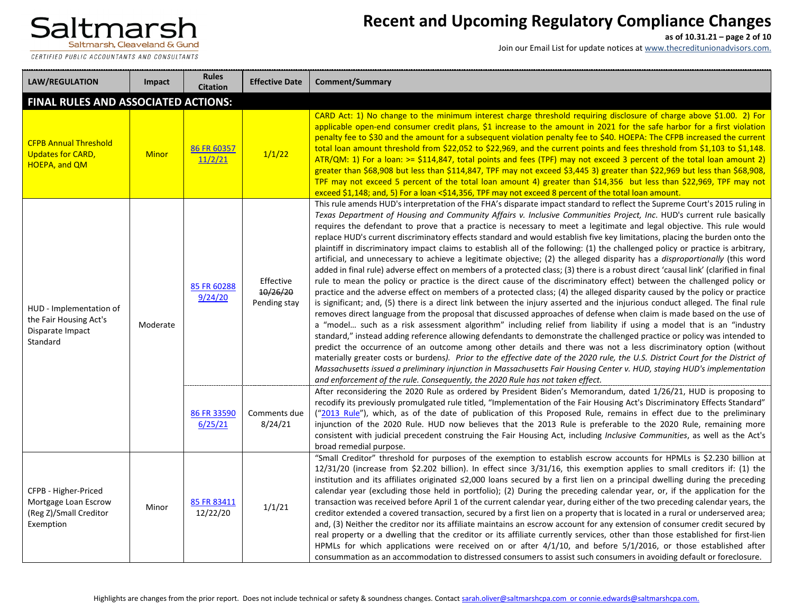CERTIFIED PUBLIC ACCOUNTANTS AND CONSULTANTS

## **Recent and Upcoming Regulatory Compliance Changes**

**as of 10.31.21 – page 2 of 10**

| <b>LAW/REGULATION</b>                                                               | Impact                                     | <b>Rules</b><br><b>Citation</b> | <b>Effective Date</b>                 | Comment/Summary                                                                                                                                                                                                                                                                                                                                                                                                                                                                                                                                                                                                                                                                                                                                                                                                                                                                                                                                                                                                                                                                                                                                                                                                                                                                                                                                                                                                                                                                                                                                                                                                                                                                                                                                                                                                                                                                                                                                                                                                                                                                                                                                                  |  |  |  |  |
|-------------------------------------------------------------------------------------|--------------------------------------------|---------------------------------|---------------------------------------|------------------------------------------------------------------------------------------------------------------------------------------------------------------------------------------------------------------------------------------------------------------------------------------------------------------------------------------------------------------------------------------------------------------------------------------------------------------------------------------------------------------------------------------------------------------------------------------------------------------------------------------------------------------------------------------------------------------------------------------------------------------------------------------------------------------------------------------------------------------------------------------------------------------------------------------------------------------------------------------------------------------------------------------------------------------------------------------------------------------------------------------------------------------------------------------------------------------------------------------------------------------------------------------------------------------------------------------------------------------------------------------------------------------------------------------------------------------------------------------------------------------------------------------------------------------------------------------------------------------------------------------------------------------------------------------------------------------------------------------------------------------------------------------------------------------------------------------------------------------------------------------------------------------------------------------------------------------------------------------------------------------------------------------------------------------------------------------------------------------------------------------------------------------|--|--|--|--|
|                                                                                     | <b>FINAL RULES AND ASSOCIATED ACTIONS:</b> |                                 |                                       |                                                                                                                                                                                                                                                                                                                                                                                                                                                                                                                                                                                                                                                                                                                                                                                                                                                                                                                                                                                                                                                                                                                                                                                                                                                                                                                                                                                                                                                                                                                                                                                                                                                                                                                                                                                                                                                                                                                                                                                                                                                                                                                                                                  |  |  |  |  |
| <b>CFPB Annual Threshold</b><br><b>Updates for CARD,</b><br><b>HOEPA, and QM</b>    | <b>Minor</b>                               | 86 FR 60357<br>11/2/21          | 1/1/22                                | CARD Act: 1) No change to the minimum interest charge threshold requiring disclosure of charge above \$1.00. 2) For<br>applicable open-end consumer credit plans, \$1 increase to the amount in 2021 for the safe harbor for a first violation<br>penalty fee to \$30 and the amount for a subsequent violation penalty fee to \$40. HOEPA: The CFPB increased the current<br>total loan amount threshold from \$22,052 to \$22,969, and the current points and fees threshold from \$1,103 to \$1,148.<br>ATR/QM: 1) For a loan: >= \$114,847, total points and fees (TPF) may not exceed 3 percent of the total loan amount 2)<br>greater than \$68,908 but less than \$114,847, TPF may not exceed \$3,445 3) greater than \$22,969 but less than \$68,908,<br>TPF may not exceed 5 percent of the total loan amount 4) greater than \$14,356 but less than \$22,969, TPF may not<br>exceed \$1,148; and, 5) For a loan <\$14,356, TPF may not exceed 8 percent of the total loan amount.                                                                                                                                                                                                                                                                                                                                                                                                                                                                                                                                                                                                                                                                                                                                                                                                                                                                                                                                                                                                                                                                                                                                                                     |  |  |  |  |
| HUD - Implementation of<br>the Fair Housing Act's<br>Disparate Impact<br>Standard   | Moderate                                   | 85 FR 60288<br>9/24/20          | Effective<br>10/26/20<br>Pending stay | This rule amends HUD's interpretation of the FHA's disparate impact standard to reflect the Supreme Court's 2015 ruling in<br>Texas Department of Housing and Community Affairs v. Inclusive Communities Project, Inc. HUD's current rule basically<br>requires the defendant to prove that a practice is necessary to meet a legitimate and legal objective. This rule would<br>replace HUD's current discriminatory effects standard and would establish five key limitations, placing the burden onto the<br>plaintiff in discriminatory impact claims to establish all of the following: (1) the challenged policy or practice is arbitrary,<br>artificial, and unnecessary to achieve a legitimate objective; (2) the alleged disparity has a disproportionally (this word<br>added in final rule) adverse effect on members of a protected class; (3) there is a robust direct 'causal link' (clarified in final<br>rule to mean the policy or practice is the direct cause of the discriminatory effect) between the challenged policy or<br>practice and the adverse effect on members of a protected class; (4) the alleged disparity caused by the policy or practice<br>is significant; and, (5) there is a direct link between the injury asserted and the injurious conduct alleged. The final rule<br>removes direct language from the proposal that discussed approaches of defense when claim is made based on the use of<br>a "model such as a risk assessment algorithm" including relief from liability if using a model that is an "industry<br>standard," instead adding reference allowing defendants to demonstrate the challenged practice or policy was intended to<br>predict the occurrence of an outcome among other details and there was not a less discriminatory option (without<br>materially greater costs or burdens). Prior to the effective date of the 2020 rule, the U.S. District Court for the District of<br>Massachusetts issued a preliminary injunction in Massachusetts Fair Housing Center v. HUD, staying HUD's implementation<br>and enforcement of the rule. Consequently, the 2020 Rule has not taken effect. |  |  |  |  |
|                                                                                     |                                            | 86 FR 33590<br>6/25/21          | Comments due<br>8/24/21               | After reconsidering the 2020 Rule as ordered by President Biden's Memorandum, dated 1/26/21, HUD is proposing to<br>recodify its previously promulgated rule titled, "Implementation of the Fair Housing Act's Discriminatory Effects Standard"<br>("2013 Rule"), which, as of the date of publication of this Proposed Rule, remains in effect due to the preliminary<br>injunction of the 2020 Rule. HUD now believes that the 2013 Rule is preferable to the 2020 Rule, remaining more<br>consistent with judicial precedent construing the Fair Housing Act, including Inclusive Communities, as well as the Act's<br>broad remedial purpose.                                                                                                                                                                                                                                                                                                                                                                                                                                                                                                                                                                                                                                                                                                                                                                                                                                                                                                                                                                                                                                                                                                                                                                                                                                                                                                                                                                                                                                                                                                                |  |  |  |  |
| CFPB - Higher-Priced<br>Mortgage Loan Escrow<br>(Reg Z)/Small Creditor<br>Exemption | Minor                                      | 85 FR 83411<br>12/22/20         | 1/1/21                                | "Small Creditor" threshold for purposes of the exemption to establish escrow accounts for HPMLs is \$2.230 billion at<br>12/31/20 (increase from \$2.202 billion). In effect since 3/31/16, this exemption applies to small creditors if: (1) the<br>institution and its affiliates originated ≤2,000 loans secured by a first lien on a principal dwelling during the preceding<br>calendar year (excluding those held in portfolio); (2) During the preceding calendar year, or, if the application for the<br>transaction was received before April 1 of the current calendar year, during either of the two preceding calendar years, the<br>creditor extended a covered transaction, secured by a first lien on a property that is located in a rural or underserved area;<br>and, (3) Neither the creditor nor its affiliate maintains an escrow account for any extension of consumer credit secured by<br>real property or a dwelling that the creditor or its affiliate currently services, other than those established for first-lien<br>HPMLs for which applications were received on or after 4/1/10, and before 5/1/2016, or those established after<br>consummation as an accommodation to distressed consumers to assist such consumers in avoiding default or foreclosure.                                                                                                                                                                                                                                                                                                                                                                                                                                                                                                                                                                                                                                                                                                                                                                                                                                                                      |  |  |  |  |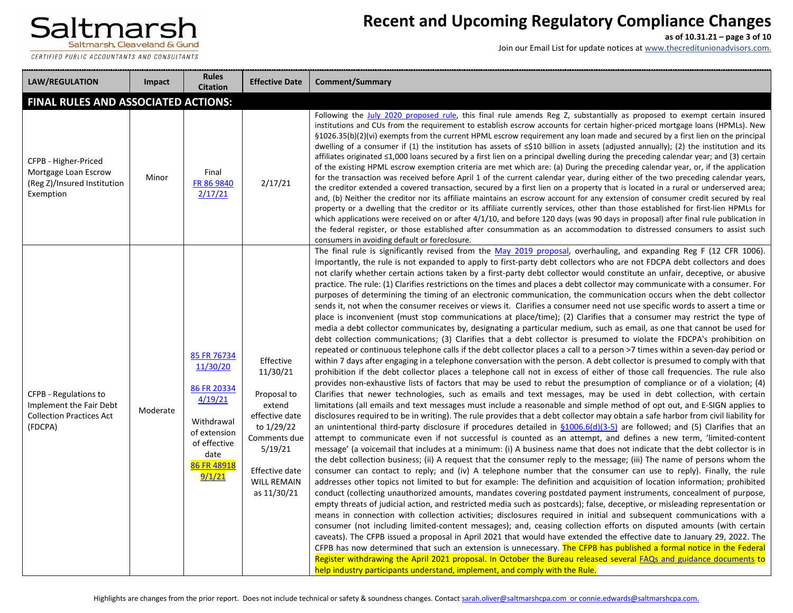

## **Recent and Upcoming Regulatory Compliance Changes**

**as of 10.31.21 – page 3 of 10**

| <b>LAW/REGULATION</b>                                                                          | Impact   | <b>Rules</b><br><b>Citation</b>                                                                                                  | <b>Effective Date</b>                                                                                                                                            | <b>Comment/Summary</b>                                                                                                                                                                                                                                                                                                                                                                                                                                                                                                                                                                                                                                                                                                                                                                                                                                                                                                                                                                                                                                                                                                                                                                                                                                                                                                                                                                                                                                                                                                                                                                                                                                                                                                                                                                                                                                                                                                                                                                                                                                                                                                                                                                                                                                                                                                                                                                                                                                                                                                                                                                                                                                                                                                                                                                                                                                                                                                                                                                                                                                                                                                                                                                                                                                                                                                                                                                                                                                                                                                                                                                                                                                                                                                                                                                     |
|------------------------------------------------------------------------------------------------|----------|----------------------------------------------------------------------------------------------------------------------------------|------------------------------------------------------------------------------------------------------------------------------------------------------------------|--------------------------------------------------------------------------------------------------------------------------------------------------------------------------------------------------------------------------------------------------------------------------------------------------------------------------------------------------------------------------------------------------------------------------------------------------------------------------------------------------------------------------------------------------------------------------------------------------------------------------------------------------------------------------------------------------------------------------------------------------------------------------------------------------------------------------------------------------------------------------------------------------------------------------------------------------------------------------------------------------------------------------------------------------------------------------------------------------------------------------------------------------------------------------------------------------------------------------------------------------------------------------------------------------------------------------------------------------------------------------------------------------------------------------------------------------------------------------------------------------------------------------------------------------------------------------------------------------------------------------------------------------------------------------------------------------------------------------------------------------------------------------------------------------------------------------------------------------------------------------------------------------------------------------------------------------------------------------------------------------------------------------------------------------------------------------------------------------------------------------------------------------------------------------------------------------------------------------------------------------------------------------------------------------------------------------------------------------------------------------------------------------------------------------------------------------------------------------------------------------------------------------------------------------------------------------------------------------------------------------------------------------------------------------------------------------------------------------------------------------------------------------------------------------------------------------------------------------------------------------------------------------------------------------------------------------------------------------------------------------------------------------------------------------------------------------------------------------------------------------------------------------------------------------------------------------------------------------------------------------------------------------------------------------------------------------------------------------------------------------------------------------------------------------------------------------------------------------------------------------------------------------------------------------------------------------------------------------------------------------------------------------------------------------------------------------------------------------------------------------------------------------------------------|
| FINAL RULES AND ASSOCIATED ACTIONS:                                                            |          |                                                                                                                                  |                                                                                                                                                                  |                                                                                                                                                                                                                                                                                                                                                                                                                                                                                                                                                                                                                                                                                                                                                                                                                                                                                                                                                                                                                                                                                                                                                                                                                                                                                                                                                                                                                                                                                                                                                                                                                                                                                                                                                                                                                                                                                                                                                                                                                                                                                                                                                                                                                                                                                                                                                                                                                                                                                                                                                                                                                                                                                                                                                                                                                                                                                                                                                                                                                                                                                                                                                                                                                                                                                                                                                                                                                                                                                                                                                                                                                                                                                                                                                                                            |
| CFPB - Higher-Priced<br>Mortgage Loan Escrow<br>(Reg Z)/Insured Institution<br>Exemption       | Minor    | Final<br>FR 86 9840<br>2/17/21                                                                                                   | 2/17/21                                                                                                                                                          | Following the July 2020 proposed rule, this final rule amends Reg Z, substantially as proposed to exempt certain insured<br>institutions and CUs from the requirement to establish escrow accounts for certain higher-priced mortgage loans (HPMLs). New<br>§1026.35(b)(2)(vi) exempts from the current HPML escrow requirement any loan made and secured by a first lien on the principal<br>dwelling of a consumer if (1) the institution has assets of $\leq$ 10 billion in assets (adjusted annually); (2) the institution and its<br>affiliates originated $\leq 1,000$ loans secured by a first lien on a principal dwelling during the preceding calendar year; and (3) certain<br>of the existing HPML escrow exemption criteria are met which are: (a) During the preceding calendar year, or, if the application<br>for the transaction was received before April 1 of the current calendar year, during either of the two preceding calendar years,<br>the creditor extended a covered transaction, secured by a first lien on a property that is located in a rural or underserved area;<br>and, (b) Neither the creditor nor its affiliate maintains an escrow account for any extension of consumer credit secured by real<br>property or a dwelling that the creditor or its affiliate currently services, other than those established for first-lien HPMLs for<br>which applications were received on or after $4/1/10$ , and before 120 days (was 90 days in proposal) after final rule publication in<br>the federal register, or those established after consummation as an accommodation to distressed consumers to assist such<br>consumers in avoiding default or foreclosure.                                                                                                                                                                                                                                                                                                                                                                                                                                                                                                                                                                                                                                                                                                                                                                                                                                                                                                                                                                                                                                                                                                                                                                                                                                                                                                                                                                                                                                                                                                                                                                                                                                                                                                                                                                                                                                                                                                                                                                                                                                                                                      |
| CFPB - Regulations to<br>Implement the Fair Debt<br><b>Collection Practices Act</b><br>(FDCPA) | Moderate | 85 FR 76734<br>11/30/20<br>86 FR 20334<br>4/19/21<br>Withdrawal<br>of extension<br>of effective<br>date<br>86 FR 48918<br>9/1/21 | Effective<br>11/30/21<br>Proposal to<br>extend<br>effective date<br>to 1/29/22<br>Comments due<br>5/19/21<br>Effective date<br><b>WILL REMAIN</b><br>as 11/30/21 | The final rule is significantly revised from the May 2019 proposal, overhauling, and expanding Reg F (12 CFR 1006).<br>Importantly, the rule is not expanded to apply to first-party debt collectors who are not FDCPA debt collectors and does<br>not clarify whether certain actions taken by a first-party debt collector would constitute an unfair, deceptive, or abusive<br>practice. The rule: (1) Clarifies restrictions on the times and places a debt collector may communicate with a consumer. For<br>purposes of determining the timing of an electronic communication, the communication occurs when the debt collector<br>sends it, not when the consumer receives or views it. Clarifies a consumer need not use specific words to assert a time or<br>place is inconvenient (must stop communications at place/time); (2) Clarifies that a consumer may restrict the type of<br>media a debt collector communicates by, designating a particular medium, such as email, as one that cannot be used for<br>debt collection communications; (3) Clarifies that a debt collector is presumed to violate the FDCPA's prohibition on<br>repeated or continuous telephone calls if the debt collector places a call to a person >7 times within a seven-day period or<br>within 7 days after engaging in a telephone conversation with the person. A debt collector is presumed to comply with that<br>prohibition if the debt collector places a telephone call not in excess of either of those call frequencies. The rule also<br>provides non-exhaustive lists of factors that may be used to rebut the presumption of compliance or of a violation; (4)<br>Clarifies that newer technologies, such as emails and text messages, may be used in debt collection, with certain<br>limitations (all emails and text messages must include a reasonable and simple method of opt out, and E-SIGN applies to<br>disclosures required to be in writing). The rule provides that a debt collector may obtain a safe harbor from civil liability for<br>an unintentional third-party disclosure if procedures detailed in $\S1006.6(d)(3-5)$ are followed; and (5) Clarifies that an<br>attempt to communicate even if not successful is counted as an attempt, and defines a new term, 'limited-content<br>message' (a voicemail that includes at a minimum: (i) A business name that does not indicate that the debt collector is in<br>the debt collection business; (ii) A request that the consumer reply to the message; (iii) The name of persons whom the<br>consumer can contact to reply; and (iv) A telephone number that the consumer can use to reply). Finally, the rule<br>addresses other topics not limited to but for example: The definition and acquisition of location information; prohibited<br>conduct (collecting unauthorized amounts, mandates covering postdated payment instruments, concealment of purpose,<br>empty threats of judicial action, and restricted media such as postcards); false, deceptive, or misleading representation or<br>means in connection with collection activities; disclosures required in initial and subsequent communications with a<br>consumer (not including limited-content messages); and, ceasing collection efforts on disputed amounts (with certain<br>caveats). The CFPB issued a proposal in April 2021 that would have extended the effective date to January 29, 2022. The<br>CFPB has now determined that such an extension is unnecessary. The CFPB has published a formal notice in the Federal<br>Register withdrawing the April 2021 proposal. In October the Bureau released several FAQs and guidance documents to<br>help industry participants understand, implement, and comply with the Rule. |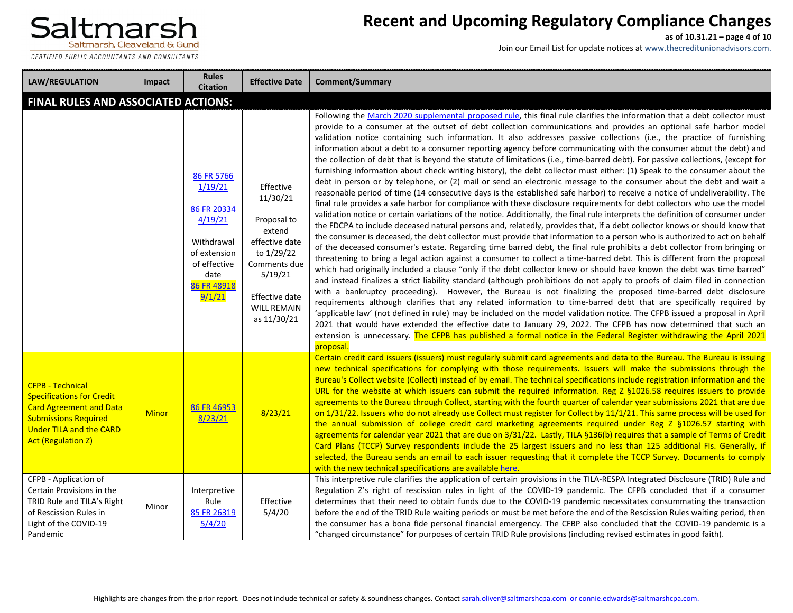

## **Recent and Upcoming Regulatory Compliance Changes**

**as of 10.31.21 – page 4 of 10**

Join our Email List for update notices at www.thecreditunionadvisors.com.

| <b>LAW/REGULATION</b>                                                                                                                                                                       | Impact       | <b>Rules</b><br><b>Citation</b>                                                                                                | <b>Effective Date</b>                                                                                                                                            | <b>Comment/Summary</b>                                                                                                                                                                                                                                                                                                                                                                                                                                                                                                                                                                                                                                                                                                                                                                                                                                                                                                                                                                                                                                                                                                                                                                                                                                                                                                                                                                                                                                                                                                                                                                                                                                                                                                                                                                                                                                                                                                                                                                                                                                                                                                                                                                                                                                                                                                                                                                                                                                                                                                                                                                                                                                                                       |  |  |  |
|---------------------------------------------------------------------------------------------------------------------------------------------------------------------------------------------|--------------|--------------------------------------------------------------------------------------------------------------------------------|------------------------------------------------------------------------------------------------------------------------------------------------------------------|----------------------------------------------------------------------------------------------------------------------------------------------------------------------------------------------------------------------------------------------------------------------------------------------------------------------------------------------------------------------------------------------------------------------------------------------------------------------------------------------------------------------------------------------------------------------------------------------------------------------------------------------------------------------------------------------------------------------------------------------------------------------------------------------------------------------------------------------------------------------------------------------------------------------------------------------------------------------------------------------------------------------------------------------------------------------------------------------------------------------------------------------------------------------------------------------------------------------------------------------------------------------------------------------------------------------------------------------------------------------------------------------------------------------------------------------------------------------------------------------------------------------------------------------------------------------------------------------------------------------------------------------------------------------------------------------------------------------------------------------------------------------------------------------------------------------------------------------------------------------------------------------------------------------------------------------------------------------------------------------------------------------------------------------------------------------------------------------------------------------------------------------------------------------------------------------------------------------------------------------------------------------------------------------------------------------------------------------------------------------------------------------------------------------------------------------------------------------------------------------------------------------------------------------------------------------------------------------------------------------------------------------------------------------------------------------|--|--|--|
| <b>FINAL RULES AND ASSOCIATED ACTIONS:</b>                                                                                                                                                  |              |                                                                                                                                |                                                                                                                                                                  |                                                                                                                                                                                                                                                                                                                                                                                                                                                                                                                                                                                                                                                                                                                                                                                                                                                                                                                                                                                                                                                                                                                                                                                                                                                                                                                                                                                                                                                                                                                                                                                                                                                                                                                                                                                                                                                                                                                                                                                                                                                                                                                                                                                                                                                                                                                                                                                                                                                                                                                                                                                                                                                                                              |  |  |  |
|                                                                                                                                                                                             |              | 86 FR 5766<br>1/19/21<br>86 FR 20334<br>4/19/21<br>Withdrawal<br>of extension<br>of effective<br>date<br>86 FR 48918<br>9/1/21 | Effective<br>11/30/21<br>Proposal to<br>extend<br>effective date<br>to 1/29/22<br>Comments due<br>5/19/21<br>Effective date<br><b>WILL REMAIN</b><br>as 11/30/21 | Following the March 2020 supplemental proposed rule, this final rule clarifies the information that a debt collector must<br>provide to a consumer at the outset of debt collection communications and provides an optional safe harbor model<br>validation notice containing such information. It also addresses passive collections (i.e., the practice of furnishing<br>information about a debt to a consumer reporting agency before communicating with the consumer about the debt) and<br>the collection of debt that is beyond the statute of limitations (i.e., time-barred debt). For passive collections, (except for<br>furnishing information about check writing history), the debt collector must either: (1) Speak to the consumer about the<br>debt in person or by telephone, or (2) mail or send an electronic message to the consumer about the debt and wait a<br>reasonable period of time (14 consecutive days is the established safe harbor) to receive a notice of undeliverability. The<br>final rule provides a safe harbor for compliance with these disclosure requirements for debt collectors who use the model<br>validation notice or certain variations of the notice. Additionally, the final rule interprets the definition of consumer under<br>the FDCPA to include deceased natural persons and, relatedly, provides that, if a debt collector knows or should know that<br>the consumer is deceased, the debt collector must provide that information to a person who is authorized to act on behalf<br>of the deceased consumer's estate. Regarding time barred debt, the final rule prohibits a debt collector from bringing or<br>threatening to bring a legal action against a consumer to collect a time-barred debt. This is different from the proposal<br>which had originally included a clause "only if the debt collector knew or should have known the debt was time barred"<br>and instead finalizes a strict liability standard (although prohibitions do not apply to proofs of claim filed in connection<br>with a bankruptcy proceeding). However, the Bureau is not finalizing the proposed time-barred debt disclosure<br>requirements although clarifies that any related information to time-barred debt that are specifically required by<br>'applicable law' (not defined in rule) may be included on the model validation notice. The CFPB issued a proposal in April<br>2021 that would have extended the effective date to January 29, 2022. The CFPB has now determined that such an<br>extension is unnecessary. The CFPB has published a formal notice in the Federal Register withdrawing the April 2021<br>proposal. |  |  |  |
| <b>CFPB - Technical</b><br><b>Specifications for Credit</b><br><b>Card Agreement and Data</b><br><b>Submissions Required</b><br><b>Under TILA and the CARD</b><br><b>Act (Regulation Z)</b> | <b>Minor</b> | 86 FR 46953<br>8/23/21                                                                                                         | 8/23/21                                                                                                                                                          | Certain credit card issuers (issuers) must regularly submit card agreements and data to the Bureau. The Bureau is issuing<br>new technical specifications for complying with those requirements. Issuers will make the submissions through the<br>Bureau's Collect website (Collect) instead of by email. The technical specifications include registration information and the<br>URL for the website at which issuers can submit the required information. Reg $Z$ §1026.58 requires issuers to provide<br>agreements to the Bureau through Collect, starting with the fourth quarter of calendar year submissions 2021 that are due<br>on 1/31/22. Issuers who do not already use Collect must register for Collect by 11/1/21. This same process will be used for<br>the annual submission of college credit card marketing agreements required under Reg Z §1026.57 starting with<br>agreements for calendar year 2021 that are due on 3/31/22. Lastly, TILA §136(b) requires that a sample of Terms of Credit<br>Card Plans (TCCP) Survey respondents include the 25 largest issuers and no less than 125 additional FIs. Generally, if<br>selected, the Bureau sends an email to each issuer requesting that it complete the TCCP Survey. Documents to comply<br>with the new technical specifications are available here.                                                                                                                                                                                                                                                                                                                                                                                                                                                                                                                                                                                                                                                                                                                                                                                                                                                                                                                                                                                                                                                                                                                                                                                                                                                                                                                                                            |  |  |  |
| CFPB - Application of<br>Certain Provisions in the<br>TRID Rule and TILA's Right<br>of Rescission Rules in<br>Light of the COVID-19<br>Pandemic                                             | Minor        | Interpretive<br>Rule<br>85 FR 26319<br>5/4/20                                                                                  | Effective<br>5/4/20                                                                                                                                              | This interpretive rule clarifies the application of certain provisions in the TILA-RESPA Integrated Disclosure (TRID) Rule and<br>Regulation Z's right of rescission rules in light of the COVID-19 pandemic. The CFPB concluded that if a consumer<br>determines that their need to obtain funds due to the COVID-19 pandemic necessitates consummating the transaction<br>before the end of the TRID Rule waiting periods or must be met before the end of the Rescission Rules waiting period, then<br>the consumer has a bona fide personal financial emergency. The CFBP also concluded that the COVID-19 pandemic is a<br>"changed circumstance" for purposes of certain TRID Rule provisions (including revised estimates in good faith).                                                                                                                                                                                                                                                                                                                                                                                                                                                                                                                                                                                                                                                                                                                                                                                                                                                                                                                                                                                                                                                                                                                                                                                                                                                                                                                                                                                                                                                                                                                                                                                                                                                                                                                                                                                                                                                                                                                                             |  |  |  |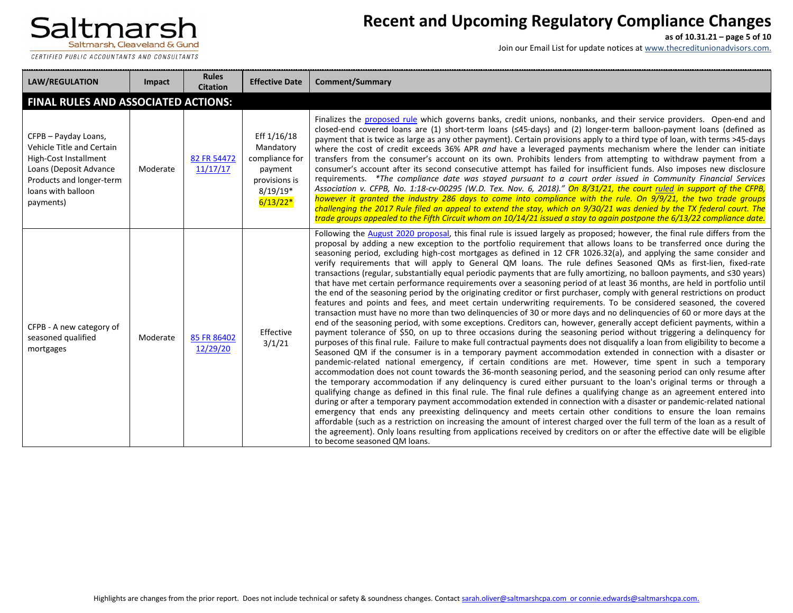CERTIFIED PUBLIC ACCOUNTANTS AND CONSULTANTS

## **Recent and Upcoming Regulatory Compliance Changes**

**as of 10.31.21 – page 5 of 10**

Join our Email List for update notices at www.thecreditunionadvisors.com.

| <b>LAW/REGULATION</b>                                                                                                                                               | Impact   | <b>Rules</b><br><b>Citation</b> | <b>Effective Date</b>                                                                              | <b>Comment/Summary</b>                                                                                                                                                                                                                                                                                                                                                                                                                                                                                                                                                                                                                                                                                                                                                                                                                                                                                                                                                                                                                                                                                                                                                                                                                                                                                                                                                                                                                                                                                                                                                                                                                                                                                                                                                                                                                                                                                                                                                                                                                                                                                                                                                                                                                                                                                                                                                                                                                                                                                                                                                                                                                                                        |
|---------------------------------------------------------------------------------------------------------------------------------------------------------------------|----------|---------------------------------|----------------------------------------------------------------------------------------------------|-------------------------------------------------------------------------------------------------------------------------------------------------------------------------------------------------------------------------------------------------------------------------------------------------------------------------------------------------------------------------------------------------------------------------------------------------------------------------------------------------------------------------------------------------------------------------------------------------------------------------------------------------------------------------------------------------------------------------------------------------------------------------------------------------------------------------------------------------------------------------------------------------------------------------------------------------------------------------------------------------------------------------------------------------------------------------------------------------------------------------------------------------------------------------------------------------------------------------------------------------------------------------------------------------------------------------------------------------------------------------------------------------------------------------------------------------------------------------------------------------------------------------------------------------------------------------------------------------------------------------------------------------------------------------------------------------------------------------------------------------------------------------------------------------------------------------------------------------------------------------------------------------------------------------------------------------------------------------------------------------------------------------------------------------------------------------------------------------------------------------------------------------------------------------------------------------------------------------------------------------------------------------------------------------------------------------------------------------------------------------------------------------------------------------------------------------------------------------------------------------------------------------------------------------------------------------------------------------------------------------------------------------------------------------------|
| FINAL RULES AND ASSOCIATED ACTIONS:                                                                                                                                 |          |                                 |                                                                                                    |                                                                                                                                                                                                                                                                                                                                                                                                                                                                                                                                                                                                                                                                                                                                                                                                                                                                                                                                                                                                                                                                                                                                                                                                                                                                                                                                                                                                                                                                                                                                                                                                                                                                                                                                                                                                                                                                                                                                                                                                                                                                                                                                                                                                                                                                                                                                                                                                                                                                                                                                                                                                                                                                               |
| CFPB - Payday Loans,<br>Vehicle Title and Certain<br>High-Cost Installment<br>Loans (Deposit Advance<br>Products and longer-term<br>loans with balloon<br>payments) | Moderate | 82 FR 54472<br>11/17/17         | Eff 1/16/18<br>Mandatory<br>compliance for<br>payment<br>provisions is<br>$8/19/19*$<br>$6/13/22*$ | Finalizes the proposed rule which governs banks, credit unions, nonbanks, and their service providers. Open-end and<br>closed-end covered loans are (1) short-term loans (<45-days) and (2) longer-term balloon-payment loans (defined as<br>payment that is twice as large as any other payment). Certain provisions apply to a third type of loan, with terms >45-days<br>where the cost of credit exceeds 36% APR and have a leveraged payments mechanism where the lender can initiate<br>transfers from the consumer's account on its own. Prohibits lenders from attempting to withdraw payment from a<br>consumer's account after its second consecutive attempt has failed for insufficient funds. Also imposes new disclosure<br>requirements. *The compliance date was stayed pursuant to a court order issued in Community Financial Services<br>Association v. CFPB, No. 1:18-cv-00295 (W.D. Tex. Nov. 6, 2018)." On 8/31/21, the court ruled in support of the CFPB,<br>however it granted the industry 286 days to come into compliance with the rule. On 9/9/21, the two trade groups<br>challenging the 2017 Rule filed an appeal to extend the stay, which on 9/30/21 was denied by the TX federal court. The<br>trade groups appealed to the Fifth Circuit whom on 10/14/21 issued a stay to again postpone the 6/13/22 compliance date.                                                                                                                                                                                                                                                                                                                                                                                                                                                                                                                                                                                                                                                                                                                                                                                                                                                                                                                                                                                                                                                                                                                                                                                                                                                                                                                    |
| CFPB - A new category of<br>seasoned qualified<br>mortgages                                                                                                         | Moderate | 85 FR 86402<br>12/29/20         | Effective<br>3/1/21                                                                                | Following the August 2020 proposal, this final rule is issued largely as proposed; however, the final rule differs from the<br>proposal by adding a new exception to the portfolio requirement that allows loans to be transferred once during the<br>seasoning period, excluding high-cost mortgages as defined in 12 CFR 1026.32(a), and applying the same consider and<br>verify requirements that will apply to General QM loans. The rule defines Seasoned QMs as first-lien, fixed-rate<br>transactions (regular, substantially equal periodic payments that are fully amortizing, no balloon payments, and ≤30 years)<br>that have met certain performance requirements over a seasoning period of at least 36 months, are held in portfolio until<br>the end of the seasoning period by the originating creditor or first purchaser, comply with general restrictions on product<br>features and points and fees, and meet certain underwriting requirements. To be considered seasoned, the covered<br>transaction must have no more than two delinquencies of 30 or more days and no delinquencies of 60 or more days at the<br>end of the seasoning period, with some exceptions. Creditors can, however, generally accept deficient payments, within a<br>payment tolerance of \$50, on up to three occasions during the seasoning period without triggering a delinquency for<br>purposes of this final rule. Failure to make full contractual payments does not disqualify a loan from eligibility to become a<br>Seasoned QM if the consumer is in a temporary payment accommodation extended in connection with a disaster or<br>pandemic-related national emergency, if certain conditions are met. However, time spent in such a temporary<br>accommodation does not count towards the 36-month seasoning period, and the seasoning period can only resume after<br>the temporary accommodation if any delinguency is cured either pursuant to the loan's original terms or through a<br>qualifying change as defined in this final rule. The final rule defines a qualifying change as an agreement entered into<br>during or after a temporary payment accommodation extended in connection with a disaster or pandemic-related national<br>emergency that ends any preexisting delinquency and meets certain other conditions to ensure the loan remains<br>affordable (such as a restriction on increasing the amount of interest charged over the full term of the loan as a result of<br>the agreement). Only loans resulting from applications received by creditors on or after the effective date will be eligible<br>to become seasoned QM loans. |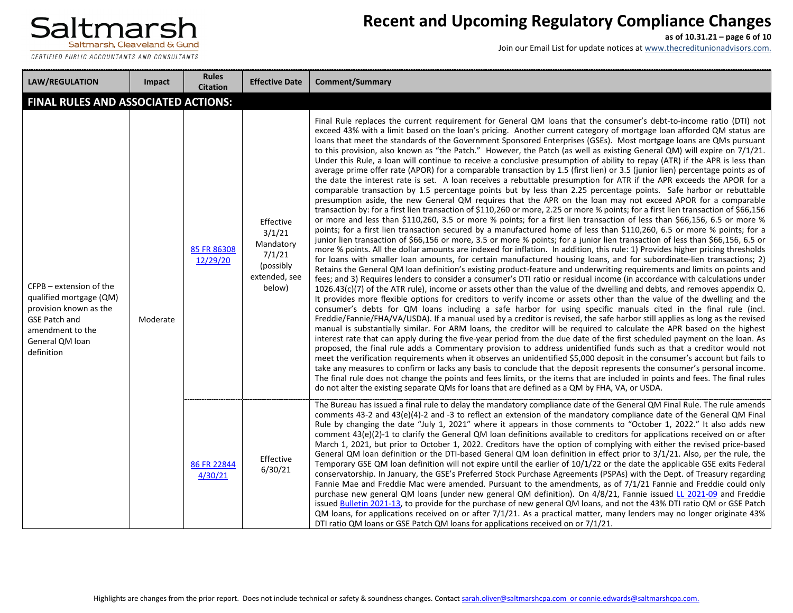

CERTIFIED PUBLIC ACCOUNTANTS AND CONSULTANTS -------------------------------------

## **Recent and Upcoming Regulatory Compliance Changes**

**as of 10.31.21 – page 6 of 10**

| <b>LAW/REGULATION</b>                                                                                                                                     | <b>Impact</b> | <b>Rules</b><br><b>Citation</b> | <b>Effective Date</b>                                                              | Comment/Summary                                                                                                                                                                                                                                                                                                                                                                                                                                                                                                                                                                                                                                                                                                                                                                                                                                                                                                                                                                                                                                                                                                                                                                                                                                                                                                                                                                                                                                                                                                                                                                                                                                                                                                                                                                                                                                                                                                                                                                                                                                                                                                                                                                                                                                                                                                                                                                                                                                                                                                                                                                                                                                                                                                                                                                                                                                                                                                                                                                                                                                                                                                                                                                                                                                                                                                                                                                                                                                                                                                                                                            |
|-----------------------------------------------------------------------------------------------------------------------------------------------------------|---------------|---------------------------------|------------------------------------------------------------------------------------|----------------------------------------------------------------------------------------------------------------------------------------------------------------------------------------------------------------------------------------------------------------------------------------------------------------------------------------------------------------------------------------------------------------------------------------------------------------------------------------------------------------------------------------------------------------------------------------------------------------------------------------------------------------------------------------------------------------------------------------------------------------------------------------------------------------------------------------------------------------------------------------------------------------------------------------------------------------------------------------------------------------------------------------------------------------------------------------------------------------------------------------------------------------------------------------------------------------------------------------------------------------------------------------------------------------------------------------------------------------------------------------------------------------------------------------------------------------------------------------------------------------------------------------------------------------------------------------------------------------------------------------------------------------------------------------------------------------------------------------------------------------------------------------------------------------------------------------------------------------------------------------------------------------------------------------------------------------------------------------------------------------------------------------------------------------------------------------------------------------------------------------------------------------------------------------------------------------------------------------------------------------------------------------------------------------------------------------------------------------------------------------------------------------------------------------------------------------------------------------------------------------------------------------------------------------------------------------------------------------------------------------------------------------------------------------------------------------------------------------------------------------------------------------------------------------------------------------------------------------------------------------------------------------------------------------------------------------------------------------------------------------------------------------------------------------------------------------------------------------------------------------------------------------------------------------------------------------------------------------------------------------------------------------------------------------------------------------------------------------------------------------------------------------------------------------------------------------------------------------------------------------------------------------------------------------------------|
| FINAL RULES AND ASSOCIATED ACTIONS:                                                                                                                       |               |                                 |                                                                                    |                                                                                                                                                                                                                                                                                                                                                                                                                                                                                                                                                                                                                                                                                                                                                                                                                                                                                                                                                                                                                                                                                                                                                                                                                                                                                                                                                                                                                                                                                                                                                                                                                                                                                                                                                                                                                                                                                                                                                                                                                                                                                                                                                                                                                                                                                                                                                                                                                                                                                                                                                                                                                                                                                                                                                                                                                                                                                                                                                                                                                                                                                                                                                                                                                                                                                                                                                                                                                                                                                                                                                                            |
| CFPB - extension of the<br>qualified mortgage (QM)<br>provision known as the<br><b>GSE Patch and</b><br>amendment to the<br>General QM loan<br>definition | Moderate      | 85 FR 86308<br>12/29/20         | Effective<br>3/1/21<br>Mandatory<br>7/1/21<br>(possibly<br>extended, see<br>below) | Final Rule replaces the current requirement for General QM loans that the consumer's debt-to-income ratio (DTI) not<br>exceed 43% with a limit based on the loan's pricing. Another current category of mortgage loan afforded QM status are<br>loans that meet the standards of the Government Sponsored Enterprises (GSEs). Most mortgage loans are QMs pursuant<br>to this provision, also known as "the Patch." However, the Patch (as well as existing General QM) will expire on 7/1/21.<br>Under this Rule, a loan will continue to receive a conclusive presumption of ability to repay (ATR) if the APR is less than<br>average prime offer rate (APOR) for a comparable transaction by 1.5 (first lien) or 3.5 (junior lien) percentage points as of<br>the date the interest rate is set. A loan receives a rebuttable presumption for ATR if the APR exceeds the APOR for a<br>comparable transaction by 1.5 percentage points but by less than 2.25 percentage points. Safe harbor or rebuttable<br>presumption aside, the new General QM requires that the APR on the loan may not exceed APOR for a comparable<br>transaction by: for a first lien transaction of \$110,260 or more, 2.25 or more % points; for a first lien transaction of \$66,156<br>or more and less than \$110,260, 3.5 or more % points; for a first lien transaction of less than \$66,156, 6.5 or more %<br>points; for a first lien transaction secured by a manufactured home of less than \$110,260, 6.5 or more % points; for a<br>junior lien transaction of \$66,156 or more, 3.5 or more % points; for a junior lien transaction of less than \$66,156, 6.5 or<br>more % points. All the dollar amounts are indexed for inflation. In addition, this rule: 1) Provides higher pricing thresholds<br>for loans with smaller loan amounts, for certain manufactured housing loans, and for subordinate-lien transactions; 2)<br>Retains the General QM loan definition's existing product-feature and underwriting requirements and limits on points and<br>fees; and 3) Requires lenders to consider a consumer's DTI ratio or residual income (in accordance with calculations under<br>$1026.43(c)(7)$ of the ATR rule), income or assets other than the value of the dwelling and debts, and removes appendix Q.<br>It provides more flexible options for creditors to verify income or assets other than the value of the dwelling and the<br>consumer's debts for QM loans including a safe harbor for using specific manuals cited in the final rule (incl.<br>Freddie/Fannie/FHA/VA/USDA). If a manual used by a creditor is revised, the safe harbor still applies as long as the revised<br>manual is substantially similar. For ARM loans, the creditor will be required to calculate the APR based on the highest<br>interest rate that can apply during the five-year period from the due date of the first scheduled payment on the loan. As<br>proposed, the final rule adds a Commentary provision to address unidentified funds such as that a creditor would not<br>meet the verification requirements when it observes an unidentified \$5,000 deposit in the consumer's account but fails to<br>take any measures to confirm or lacks any basis to conclude that the deposit represents the consumer's personal income.<br>The final rule does not change the points and fees limits, or the items that are included in points and fees. The final rules<br>do not alter the existing separate QMs for loans that are defined as a QM by FHA, VA, or USDA. |
|                                                                                                                                                           |               | 86 FR 22844<br>4/30/21          | Effective<br>6/30/21                                                               | The Bureau has issued a final rule to delay the mandatory compliance date of the General QM Final Rule. The rule amends<br>comments 43-2 and 43(e)(4)-2 and -3 to reflect an extension of the mandatory compliance date of the General QM Final<br>Rule by changing the date "July 1, 2021" where it appears in those comments to "October 1, 2022." It also adds new<br>comment 43(e)(2)-1 to clarify the General QM loan definitions available to creditors for applications received on or after<br>March 1, 2021, but prior to October 1, 2022. Creditors have the option of complying with either the revised price-based<br>General QM loan definition or the DTI-based General QM loan definition in effect prior to 3/1/21. Also, per the rule, the<br>Temporary GSE QM loan definition will not expire until the earlier of 10/1/22 or the date the applicable GSE exits Federal<br>conservatorship. In January, the GSE's Preferred Stock Purchase Agreements (PSPAs) with the Dept. of Treasury regarding<br>Fannie Mae and Freddie Mac were amended. Pursuant to the amendments, as of 7/1/21 Fannie and Freddie could only<br>purchase new general QM loans (under new general QM definition). On 4/8/21, Fannie issued LL 2021-09 and Freddie<br>issued Bulletin 2021-13, to provide for the purchase of new general QM loans, and not the 43% DTI ratio QM or GSE Patch<br>QM loans, for applications received on or after $7/1/21$ . As a practical matter, many lenders may no longer originate 43%<br>DTI ratio QM loans or GSE Patch QM loans for applications received on or 7/1/21.                                                                                                                                                                                                                                                                                                                                                                                                                                                                                                                                                                                                                                                                                                                                                                                                                                                                                                                                                                                                                                                                                                                                                                                                                                                                                                                                                                                                                                                                                                                                                                                                                                                                                                                                                                                                                                                                                                                                                                   |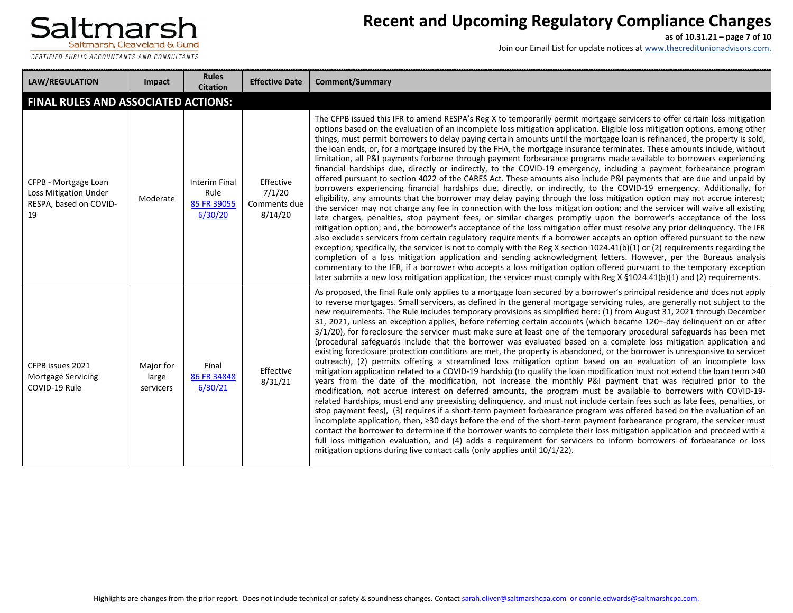

## **Recent and Upcoming Regulatory Compliance Changes**

**as of 10.31.21 – page 7 of 10**

| <b>LAW/REGULATION</b>                                                         | Impact                          | <b>Rules</b><br><b>Citation</b>                 | <b>Effective Date</b>                          | <b>Comment/Summary</b>                                                                                                                                                                                                                                                                                                                                                                                                                                                                                                                                                                                                                                                                                                                                                                                                                                                                                                                                                                                                                                                                                                                                                                                                                                                                                                                                                                                                                                                                                                                                                                                                                                                                                                                                                                                                                                                                                                                                                                                                                                                                                                                                                  |
|-------------------------------------------------------------------------------|---------------------------------|-------------------------------------------------|------------------------------------------------|-------------------------------------------------------------------------------------------------------------------------------------------------------------------------------------------------------------------------------------------------------------------------------------------------------------------------------------------------------------------------------------------------------------------------------------------------------------------------------------------------------------------------------------------------------------------------------------------------------------------------------------------------------------------------------------------------------------------------------------------------------------------------------------------------------------------------------------------------------------------------------------------------------------------------------------------------------------------------------------------------------------------------------------------------------------------------------------------------------------------------------------------------------------------------------------------------------------------------------------------------------------------------------------------------------------------------------------------------------------------------------------------------------------------------------------------------------------------------------------------------------------------------------------------------------------------------------------------------------------------------------------------------------------------------------------------------------------------------------------------------------------------------------------------------------------------------------------------------------------------------------------------------------------------------------------------------------------------------------------------------------------------------------------------------------------------------------------------------------------------------------------------------------------------------|
| <b>FINAL RULES AND ASSOCIATED ACTIONS:</b>                                    |                                 |                                                 |                                                |                                                                                                                                                                                                                                                                                                                                                                                                                                                                                                                                                                                                                                                                                                                                                                                                                                                                                                                                                                                                                                                                                                                                                                                                                                                                                                                                                                                                                                                                                                                                                                                                                                                                                                                                                                                                                                                                                                                                                                                                                                                                                                                                                                         |
| CFPB - Mortgage Loan<br>Loss Mitigation Under<br>RESPA, based on COVID-<br>19 | Moderate                        | Interim Final<br>Rule<br>85 FR 39055<br>6/30/20 | Effective<br>7/1/20<br>Comments due<br>8/14/20 | The CFPB issued this IFR to amend RESPA's Reg X to temporarily permit mortgage servicers to offer certain loss mitigation<br>options based on the evaluation of an incomplete loss mitigation application. Eligible loss mitigation options, among other<br>things, must permit borrowers to delay paying certain amounts until the mortgage loan is refinanced, the property is sold,<br>the loan ends, or, for a mortgage insured by the FHA, the mortgage insurance terminates. These amounts include, without<br>limitation, all P&I payments forborne through payment forbearance programs made available to borrowers experiencing<br>financial hardships due, directly or indirectly, to the COVID-19 emergency, including a payment forbearance program<br>offered pursuant to section 4022 of the CARES Act. These amounts also include P&I payments that are due and unpaid by<br>borrowers experiencing financial hardships due, directly, or indirectly, to the COVID-19 emergency. Additionally, for<br>eligibility, any amounts that the borrower may delay paying through the loss mitigation option may not accrue interest;<br>the servicer may not charge any fee in connection with the loss mitigation option; and the servicer will waive all existing<br>late charges, penalties, stop payment fees, or similar charges promptly upon the borrower's acceptance of the loss<br>mitigation option; and, the borrower's acceptance of the loss mitigation offer must resolve any prior delinquency. The IFR<br>also excludes servicers from certain regulatory requirements if a borrower accepts an option offered pursuant to the new<br>exception; specifically, the servicer is not to comply with the Reg X section 1024.41(b)(1) or (2) requirements regarding the<br>completion of a loss mitigation application and sending acknowledgment letters. However, per the Bureaus analysis<br>commentary to the IFR, if a borrower who accepts a loss mitigation option offered pursuant to the temporary exception<br>later submits a new loss mitigation application, the servicer must comply with Reg X §1024.41(b)(1) and (2) requirements. |
| CFPB issues 2021<br><b>Mortgage Servicing</b><br>COVID-19 Rule                | Major for<br>large<br>servicers | Final<br>86 FR 34848<br>6/30/21                 | Effective<br>8/31/21                           | As proposed, the final Rule only applies to a mortgage loan secured by a borrower's principal residence and does not apply<br>to reverse mortgages. Small servicers, as defined in the general mortgage servicing rules, are generally not subject to the<br>new requirements. The Rule includes temporary provisions as simplified here: (1) from August 31, 2021 through December<br>31, 2021, unless an exception applies, before referring certain accounts (which became 120+-day delinquent on or after<br>3/1/20), for foreclosure the servicer must make sure at least one of the temporary procedural safeguards has been met<br>(procedural safeguards include that the borrower was evaluated based on a complete loss mitigation application and<br>existing foreclosure protection conditions are met, the property is abandoned, or the borrower is unresponsive to servicer<br>outreach), (2) permits offering a streamlined loss mitigation option based on an evaluation of an incomplete loss<br>mitigation application related to a COVID-19 hardship (to qualify the loan modification must not extend the loan term >40<br>years from the date of the modification, not increase the monthly P&I payment that was required prior to the<br>modification, not accrue interest on deferred amounts, the program must be available to borrowers with COVID-19-<br>related hardships, must end any preexisting delinquency, and must not include certain fees such as late fees, penalties, or<br>stop payment fees), (3) requires if a short-term payment forbearance program was offered based on the evaluation of an<br>incomplete application, then, ≥30 days before the end of the short-term payment forbearance program, the servicer must<br>contact the borrower to determine if the borrower wants to complete their loss mitigation application and proceed with a<br>full loss mitigation evaluation, and (4) adds a requirement for servicers to inform borrowers of forbearance or loss<br>mitigation options during live contact calls (only applies until 10/1/22).                                                                   |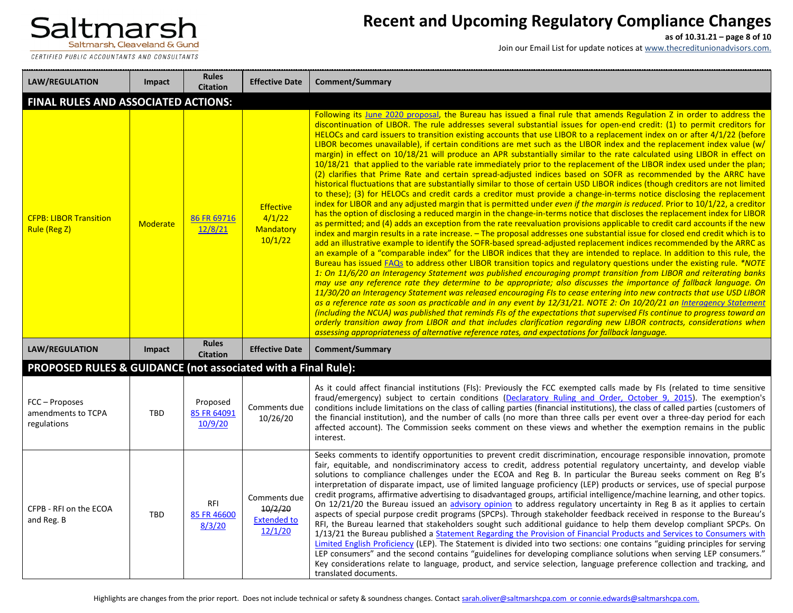

# **Recent and Upcoming Regulatory Compliance Changes**

**as of 10.31.21 – page 8 of 10**

| <b>LAW/REGULATION</b>                                         | Impact                              | <b>Rules</b><br><b>Citation</b>     | <b>Effective Date</b>                                    | <b>Comment/Summary</b>                                                                                                                                                                                                                                                                                                                                                                                                                                                                                                                                                                                                                                                                                                                                                                                                                                                                                                                                                                                                                                                                                                                                                                                                                                                                                                                                                                                                                                                                                                                                                                                                                                                                                                                                                                                                                                                                                                                                                                                                                                                                                                                                                                                                                                                                                                                                                                                                                                                                                                                                                                                                                                                                                                                                                                                                                                                                                                 |  |  |  |  |
|---------------------------------------------------------------|-------------------------------------|-------------------------------------|----------------------------------------------------------|------------------------------------------------------------------------------------------------------------------------------------------------------------------------------------------------------------------------------------------------------------------------------------------------------------------------------------------------------------------------------------------------------------------------------------------------------------------------------------------------------------------------------------------------------------------------------------------------------------------------------------------------------------------------------------------------------------------------------------------------------------------------------------------------------------------------------------------------------------------------------------------------------------------------------------------------------------------------------------------------------------------------------------------------------------------------------------------------------------------------------------------------------------------------------------------------------------------------------------------------------------------------------------------------------------------------------------------------------------------------------------------------------------------------------------------------------------------------------------------------------------------------------------------------------------------------------------------------------------------------------------------------------------------------------------------------------------------------------------------------------------------------------------------------------------------------------------------------------------------------------------------------------------------------------------------------------------------------------------------------------------------------------------------------------------------------------------------------------------------------------------------------------------------------------------------------------------------------------------------------------------------------------------------------------------------------------------------------------------------------------------------------------------------------------------------------------------------------------------------------------------------------------------------------------------------------------------------------------------------------------------------------------------------------------------------------------------------------------------------------------------------------------------------------------------------------------------------------------------------------------------------------------------------------|--|--|--|--|
|                                                               | FINAL RULES AND ASSOCIATED ACTIONS: |                                     |                                                          |                                                                                                                                                                                                                                                                                                                                                                                                                                                                                                                                                                                                                                                                                                                                                                                                                                                                                                                                                                                                                                                                                                                                                                                                                                                                                                                                                                                                                                                                                                                                                                                                                                                                                                                                                                                                                                                                                                                                                                                                                                                                                                                                                                                                                                                                                                                                                                                                                                                                                                                                                                                                                                                                                                                                                                                                                                                                                                                        |  |  |  |  |
| <b>CFPB: LIBOR Transition</b><br>Rule (Reg Z)                 | <b>Moderate</b>                     | 86 FR 69716<br>12/8/21              | <b>Effective</b><br>4/1/22<br>Mandatory<br>10/1/22       | Following its June 2020 proposal, the Bureau has issued a final rule that amends Regulation Z in order to address the<br>discontinuation of LIBOR. The rule addresses several substantial issues for open-end credit: (1) to permit creditors for<br>HELOCs and card issuers to transition existing accounts that use LIBOR to a replacement index on or after 4/1/22 (before<br>LIBOR becomes unavailable), if certain conditions are met such as the LIBOR index and the replacement index value (w/<br>margin) in effect on 10/18/21 will produce an APR substantially similar to the rate calculated using LIBOR in effect on<br>10/18/21 that applied to the variable rate immediately prior to the replacement of the LIBOR index used under the plan;<br>(2) clarifies that Prime Rate and certain spread-adjusted indices based on SOFR as recommended by the ARRC have<br>historical fluctuations that are substantially similar to those of certain USD LIBOR indices (though creditors are not limited<br>to these); (3) for HELOCs and credit cards a creditor must provide a change-in-terms notice disclosing the replacement<br>index for LIBOR and any adjusted margin that is permitted under even if the margin is reduced. Prior to 10/1/22, a creditor<br>has the option of disclosing a reduced margin in the change-in-terms notice that discloses the replacement index for LIBOR<br>as permitted; and (4) adds an exception from the rate reevaluation provisions applicable to credit card accounts if the new<br>index and margin results in a rate increase. - The proposal addresses one substantial issue for closed end credit which is to<br>add an illustrative example to identify the SOFR-based spread-adjusted replacement indices recommended by the ARRC as<br>an example of a "comparable index" for the LIBOR indices that they are intended to replace. In addition to this rule, the<br>Bureau has issued FAQs to address other LIBOR transition topics and regulatory questions under the existing rule. *NOTE<br>1: On 11/6/20 an Interagency Statement was published encouraging prompt transition from LIBOR and reiterating banks<br>may use any reference rate they determine to be appropriate; also discusses the importance of fallback language. On<br>11/30/20 an Interagency Statement was released encouraging FIs to cease entering into new contracts that use USD LIBOR<br>as a reference rate as soon as practicable and in any event by 12/31/21. NOTE 2: On 10/20/21 an Interagency Statement<br>(including the NCUA) was published that reminds FIs of the expectations that supervised FIs continue to progress toward an<br>orderly transition away from LIBOR and that includes clarification regarding new LIBOR contracts, considerations when<br>assessing appropriateness of alternative reference rates, and expectations for fallback language. |  |  |  |  |
| <b>LAW/REGULATION</b>                                         | Impact                              | <b>Rules</b><br><b>Citation</b>     | <b>Effective Date</b>                                    | <b>Comment/Summary</b>                                                                                                                                                                                                                                                                                                                                                                                                                                                                                                                                                                                                                                                                                                                                                                                                                                                                                                                                                                                                                                                                                                                                                                                                                                                                                                                                                                                                                                                                                                                                                                                                                                                                                                                                                                                                                                                                                                                                                                                                                                                                                                                                                                                                                                                                                                                                                                                                                                                                                                                                                                                                                                                                                                                                                                                                                                                                                                 |  |  |  |  |
| PROPOSED RULES & GUIDANCE (not associated with a Final Rule): |                                     |                                     |                                                          |                                                                                                                                                                                                                                                                                                                                                                                                                                                                                                                                                                                                                                                                                                                                                                                                                                                                                                                                                                                                                                                                                                                                                                                                                                                                                                                                                                                                                                                                                                                                                                                                                                                                                                                                                                                                                                                                                                                                                                                                                                                                                                                                                                                                                                                                                                                                                                                                                                                                                                                                                                                                                                                                                                                                                                                                                                                                                                                        |  |  |  |  |
| FCC - Proposes<br>amendments to TCPA<br>regulations           | <b>TBD</b>                          | Proposed<br>85 FR 64091<br>10/9/20  | Comments due<br>10/26/20                                 | As it could affect financial institutions (FIs): Previously the FCC exempted calls made by FIs (related to time sensitive<br>fraud/emergency) subject to certain conditions (Declaratory Ruling and Order, October 9, 2015). The exemption's<br>conditions include limitations on the class of calling parties (financial institutions), the class of called parties (customers of<br>the financial institution), and the number of calls (no more than three calls per event over a three-day period for each<br>affected account). The Commission seeks comment on these views and whether the exemption remains in the public<br>interest.                                                                                                                                                                                                                                                                                                                                                                                                                                                                                                                                                                                                                                                                                                                                                                                                                                                                                                                                                                                                                                                                                                                                                                                                                                                                                                                                                                                                                                                                                                                                                                                                                                                                                                                                                                                                                                                                                                                                                                                                                                                                                                                                                                                                                                                                          |  |  |  |  |
| CFPB - RFI on the ECOA<br>and Reg. B                          | <b>TBD</b>                          | <b>RFI</b><br>85 FR 46600<br>8/3/20 | Comments due<br>10/2/20<br><b>Extended to</b><br>12/1/20 | Seeks comments to identify opportunities to prevent credit discrimination, encourage responsible innovation, promote<br>fair, equitable, and nondiscriminatory access to credit, address potential regulatory uncertainty, and develop viable<br>solutions to compliance challenges under the ECOA and Reg B. In particular the Bureau seeks comment on Reg B's<br>interpretation of disparate impact, use of limited language proficiency (LEP) products or services, use of special purpose<br>credit programs, affirmative advertising to disadvantaged groups, artificial intelligence/machine learning, and other topics.<br>On 12/21/20 the Bureau issued an advisory opinion to address regulatory uncertainty in Reg B as it applies to certain<br>aspects of special purpose credit programs (SPCPs). Through stakeholder feedback received in response to the Bureau's<br>RFI, the Bureau learned that stakeholders sought such additional guidance to help them develop compliant SPCPs. On<br>1/13/21 the Bureau published a Statement Regarding the Provision of Financial Products and Services to Consumers with<br>Limited English Proficiency (LEP). The Statement is divided into two sections: one contains "guiding principles for serving<br>LEP consumers" and the second contains "guidelines for developing compliance solutions when serving LEP consumers."<br>Key considerations relate to language, product, and service selection, language preference collection and tracking, and<br>translated documents.                                                                                                                                                                                                                                                                                                                                                                                                                                                                                                                                                                                                                                                                                                                                                                                                                                                                                                                                                                                                                                                                                                                                                                                                                                                                                                                                                                              |  |  |  |  |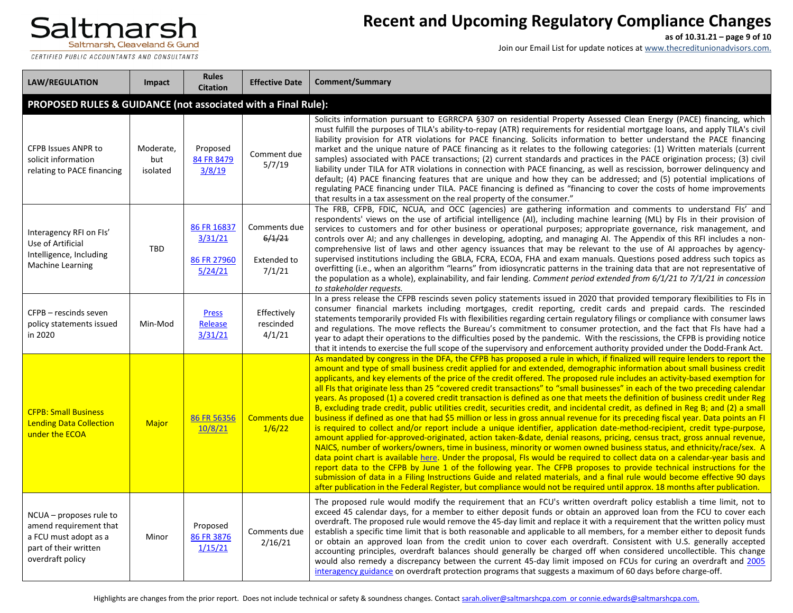CERTIFIED PUBLIC ACCOUNTANTS AND CONSULTANTS

## **Recent and Upcoming Regulatory Compliance Changes**

**as of 10.31.21 – page 9 of 10**

| <b>LAW/REGULATION</b>                                                                                                   | Impact                                                        | <b>Rules</b><br><b>Citation</b>                  | <b>Effective Date</b>                                  | Comment/Summary                                                                                                                                                                                                                                                                                                                                                                                                                                                                                                                                                                                                                                                                                                                                                                                                                                                                                                                                                                                                                                                                                                                                                                                                                                                                                                                                                                                                                                                                                                                                                                                                                                                                                                                                                                                                                  |  |  |  |
|-------------------------------------------------------------------------------------------------------------------------|---------------------------------------------------------------|--------------------------------------------------|--------------------------------------------------------|----------------------------------------------------------------------------------------------------------------------------------------------------------------------------------------------------------------------------------------------------------------------------------------------------------------------------------------------------------------------------------------------------------------------------------------------------------------------------------------------------------------------------------------------------------------------------------------------------------------------------------------------------------------------------------------------------------------------------------------------------------------------------------------------------------------------------------------------------------------------------------------------------------------------------------------------------------------------------------------------------------------------------------------------------------------------------------------------------------------------------------------------------------------------------------------------------------------------------------------------------------------------------------------------------------------------------------------------------------------------------------------------------------------------------------------------------------------------------------------------------------------------------------------------------------------------------------------------------------------------------------------------------------------------------------------------------------------------------------------------------------------------------------------------------------------------------------|--|--|--|
|                                                                                                                         | PROPOSED RULES & GUIDANCE (not associated with a Final Rule): |                                                  |                                                        |                                                                                                                                                                                                                                                                                                                                                                                                                                                                                                                                                                                                                                                                                                                                                                                                                                                                                                                                                                                                                                                                                                                                                                                                                                                                                                                                                                                                                                                                                                                                                                                                                                                                                                                                                                                                                                  |  |  |  |
| <b>CFPB Issues ANPR to</b><br>solicit information<br>relating to PACE financing                                         | Moderate,<br>but<br>isolated                                  | Proposed<br>84 FR 8479<br>3/8/19                 | Comment due<br>5/7/19                                  | Solicits information pursuant to EGRRCPA §307 on residential Property Assessed Clean Energy (PACE) financing, which<br>must fulfill the purposes of TILA's ability-to-repay (ATR) requirements for residential mortgage loans, and apply TILA's civil<br>liability provision for ATR violations for PACE financing. Solicits information to better understand the PACE financing<br>market and the unique nature of PACE financing as it relates to the following categories: (1) Written materials (current<br>samples) associated with PACE transactions; (2) current standards and practices in the PACE origination process; (3) civil<br>liability under TILA for ATR violations in connection with PACE financing, as well as rescission, borrower delinquency and<br>default; (4) PACE financing features that are unique and how they can be addressed; and (5) potential implications of<br>regulating PACE financing under TILA. PACE financing is defined as "financing to cover the costs of home improvements<br>that results in a tax assessment on the real property of the consumer."                                                                                                                                                                                                                                                                                                                                                                                                                                                                                                                                                                                                                                                                                                                            |  |  |  |
| Interagency RFI on FIs'<br>Use of Artificial<br>Intelligence, Including<br>Machine Learning                             | TBD                                                           | 86 FR 16837<br>3/31/21<br>86 FR 27960<br>5/24/21 | Comments due<br>6/1/21<br><b>Extended to</b><br>7/1/21 | The FRB, CFPB, FDIC, NCUA, and OCC (agencies) are gathering information and comments to understand FIs' and<br>respondents' views on the use of artificial intelligence (AI), including machine learning (ML) by FIs in their provision of<br>services to customers and for other business or operational purposes; appropriate governance, risk management, and<br>controls over AI; and any challenges in developing, adopting, and managing AI. The Appendix of this RFI includes a non-<br>comprehensive list of laws and other agency issuances that may be relevant to the use of AI approaches by agency-<br>supervised institutions including the GBLA, FCRA, ECOA, FHA and exam manuals. Questions posed address such topics as<br>overfitting (i.e., when an algorithm "learns" from idiosyncratic patterns in the training data that are not representative of<br>the population as a whole), explainability, and fair lending. Comment period extended from 6/1/21 to 7/1/21 in concession<br>to stakeholder requests.                                                                                                                                                                                                                                                                                                                                                                                                                                                                                                                                                                                                                                                                                                                                                                                               |  |  |  |
| CFPB - rescinds seven<br>policy statements issued<br>in 2020                                                            | Min-Mod                                                       | <b>Press</b><br>Release<br>3/31/21               | Effectively<br>rescinded<br>4/1/21                     | In a press release the CFPB rescinds seven policy statements issued in 2020 that provided temporary flexibilities to FIs in<br>consumer financial markets including mortgages, credit reporting, credit cards and prepaid cards. The rescinded<br>statements temporarily provided FIs with flexibilities regarding certain regulatory filings or compliance with consumer laws<br>and regulations. The move reflects the Bureau's commitment to consumer protection, and the fact that FIs have had a<br>year to adapt their operations to the difficulties posed by the pandemic. With the rescissions, the CFPB is providing notice<br>that it intends to exercise the full scope of the supervisory and enforcement authority provided under the Dodd-Frank Act.                                                                                                                                                                                                                                                                                                                                                                                                                                                                                                                                                                                                                                                                                                                                                                                                                                                                                                                                                                                                                                                              |  |  |  |
| <b>CFPB: Small Business</b><br><b>Lending Data Collection</b><br>under the ECOA                                         | Major                                                         | 86 FR 56356<br>10/8/21                           | <b>Comments due</b><br>1/6/22                          | As mandated by congress in the DFA, the CFPB has proposed a rule in which, if finalized will require lenders to report the<br>amount and type of small business credit applied for and extended, demographic information about small business credit<br>applicants, and key elements of the price of the credit offered. The proposed rule includes an activity-based exemption for<br>all FIs that originate less than 25 "covered credit transactions" to "small businesses" in each of the two preceding calendar<br>years. As proposed (1) a covered credit transaction is defined as one that meets the definition of business credit under Reg<br>B, excluding trade credit, public utilities credit, securities credit, and incidental credit, as defined in Reg B; and (2) a small<br>business if defined as one that had \$5 million or less in gross annual revenue for its preceding fiscal year. Data points an FI<br>is required to collect and/or report include a unique identifier, application date-method-recipient, credit type-purpose,<br>amount applied for-approved-originated, action taken-&date, denial reasons, pricing, census tract, gross annual revenue,<br>NAICS, number of workers/owners, time in business, minority or women owned business status, and ethnicity/race/sex. A<br>data point chart is available here. Under the proposal, FIs would be required to collect data on a calendar-year basis and<br>report data to the CFPB by June 1 of the following year. The CFPB proposes to provide technical instructions for the<br>submission of data in a Filing Instructions Guide and related materials, and a final rule would become effective 90 days<br>after publication in the Federal Register, but compliance would not be required until approx. 18 months after publication. |  |  |  |
| NCUA - proposes rule to<br>amend requirement that<br>a FCU must adopt as a<br>part of their written<br>overdraft policy | Minor                                                         | Proposed<br>86 FR 3876<br>1/15/21                | Comments due<br>2/16/21                                | The proposed rule would modify the requirement that an FCU's written overdraft policy establish a time limit, not to<br>exceed 45 calendar days, for a member to either deposit funds or obtain an approved loan from the FCU to cover each<br>overdraft. The proposed rule would remove the 45-day limit and replace it with a requirement that the written policy must<br>establish a specific time limit that is both reasonable and applicable to all members, for a member either to deposit funds<br>or obtain an approved loan from the credit union to cover each overdraft. Consistent with U.S. generally accepted<br>accounting principles, overdraft balances should generally be charged off when considered uncollectible. This change<br>would also remedy a discrepancy between the current 45-day limit imposed on FCUs for curing an overdraft and 2005<br>interagency guidance on overdraft protection programs that suggests a maximum of 60 days before charge-off.                                                                                                                                                                                                                                                                                                                                                                                                                                                                                                                                                                                                                                                                                                                                                                                                                                         |  |  |  |